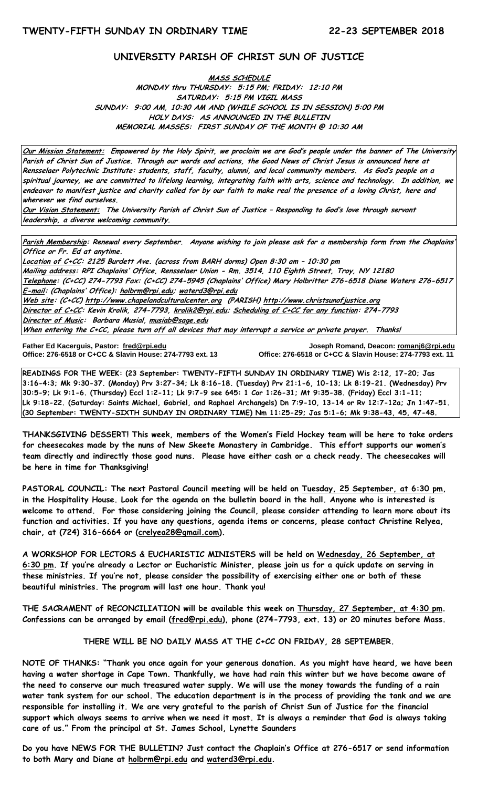# **UNIVERSITY PARISH OF CHRIST SUN OF JUSTICE**

**MASS SCHEDULE MONDAY thru THURSDAY: 5:15 PM; FRIDAY: 12:10 PM SATURDAY: 5:15 PM VIGIL MASS SUNDAY: 9:00 AM, 10:30 AM AND (WHILE SCHOOL IS IN SESSION) 5:00 PM HOLY DAYS: AS ANNOUNCED IN THE BULLETIN MEMORIAL MASSES: FIRST SUNDAY OF THE MONTH @ 10:30 AM**

**Our Mission Statement: Empowered by the Holy Spirit, we proclaim we are God's people under the banner of The University Parish of Christ Sun of Justice. Through our words and actions, the Good News of Christ Jesus is announced here at Rensselaer Polytechnic Institute: students, staff, faculty, alumni, and local community members. As God's people on a spiritual journey, we are committed to lifelong learning, integrating faith with arts, science and technology. In addition, we endeavor to manifest justice and charity called for by our faith to make real the presence of a loving Christ, here and wherever we find ourselves.**

**Our Vision Statement: The University Parish of Christ Sun of Justice – Responding to God's love through servant leadership, a diverse welcoming community.**

**Parish Membership: Renewal every September. Anyone wishing to join please ask for a membership form from the Chaplains' Office or Fr. Ed at anytime.**

**Location of C+CC: 2125 Burdett Ave. (across from BARH dorms) Open 8:30 am – 10:30 pm Mailing address: RPI Chaplains' Office, Rensselaer Union - Rm. 3514, 110 Eighth Street, Troy, NY 12180 Telephone: (C+CC) 274-7793 Fax: (C+CC) 274-5945 (Chaplains' Office) Mary Holbritter 276-6518 Diane Waters 276-6517 E-mail: (Chaplains' Office): [holbrm@rpi.edu;](mailto:holbrm@rpi.edu) waterd3@rpi.edu Web site: (C+CC[\) http://www.chapelandculturalcenter.org](http://www.chapelandculturalcenter.org/) (PARISH) http://www.christsunofjustice.org Director of C+CC: Kevin Krolik, 274-7793, krolik2@rpi.edu; Scheduling of C+CC for any function: 274-7793 Director of Music: Barbara Musial, [musiab@sage.edu](mailto:musiab@sage.edu) When entering the C+CC, please turn off all devices that may interrupt a service or private prayer. Thanks!** 

Father Ed Kacerguis, Pastor: fred@rpi.edu

**Father Ed Kacerguis, Pastor: [fred@rpi.edu](mailto:fred@rpi.edu) Joseph Romand, Deacon[: romanj6@rpi.edu](mailto:romanj6@rpi.edu) Office: 276-6518 or C+CC & Slavin House: 274-7793 ext. 11** 

**READINGS FOR THE WEEK: (23 September: TWENTY-FIFTH SUNDAY IN ORDINARY TIME) Wis 2:12, 17-20; Jas 3:16-4:3; Mk 9:30-37. (Monday) Prv 3:27-34; Lk 8:16-18. (Tuesday) Prv 21:1-6, 10-13; Lk 8:19-21. (Wednesday) Prv 30:5-9; Lk 9:1-6. (Thursday) Eccl 1:2-11; Lk 9:7-9 see 645: 1 Cor 1:26-31; Mt 9:35-38. (Friday) Eccl 3:1-11; Lk 9:18-22. (Saturday: Saints Michael, Gabriel, and Raphael Archangels) Dn 7:9-10, 13-14 or Rv 12:7-12a; Jn 1:47-51. (30 September: TWENTY-SIXTH SUNDAY IN ORDINARY TIME) Nm 11:25-29; Jas 5:1-6; Mk 9:38-43, 45, 47-48.**

**THANKSGIVING DESSERT! This week, members of the Women's Field Hockey team will be here to take orders for cheesecakes made by the nuns of New Skeete Monastery in Cambridge. This effort supports our women's team directly and indirectly those good nuns. Please have either cash or a check ready. The cheesecakes will be here in time for Thanksgiving!**

**PASTORAL COUNCIL: The next Pastoral Council meeting will be held on Tuesday, 25 September, at 6:30 pm, in the Hospitality House. Look for the agenda on the bulletin board in the hall. Anyone who is interested is welcome to attend. For those considering joining the Council, please consider attending to learn more about its function and activities. If you have any questions, agenda items or concerns, please contact Christine Relyea, chair, at (724) 316-6664 or [\(crelyea28@gmail.com\)](mailto:crelyea28@gmail.com).**

**A WORKSHOP FOR LECTORS & EUCHARISTIC MINISTERS will be held on Wednesday, 26 September, at 6:30 pm. If you're already a Lector or Eucharistic Minister, please join us for a quick update on serving in these ministries. If you're not, please consider the possibility of exercising either one or both of these beautiful ministries. The program will last one hour. Thank you!** 

**THE SACRAMENT of RECONCILIATION will be available this week on Thursday, 27 September, at 4:30 pm. Confessions can be arranged by email [\(fred@rpi.edu\)](mailto:fred@rpi.edu), phone (274-7793, ext. 13) or 20 minutes before Mass.**

**THERE WILL BE NO DAILY MASS AT THE C+CC ON FRIDAY, 28 SEPTEMBER.**

**NOTE OF THANKS: "Thank you once again for your generous donation. As you might have heard, we have been having a water shortage in Cape Town. Thankfully, we have had rain this winter but we have become aware of the need to conserve our much treasured water supply. We will use the money towards the funding of a rain water tank system for our school. The education department is in the process of providing the tank and we are responsible for installing it. We are very grateful to the parish of Christ Sun of Justice for the financial support which always seems to arrive when we need it most. It is always a reminder that God is always taking care of us." From the principal at St. James School, Lynette Saunders**

**Do you have NEWS FOR THE BULLETIN? Just contact the Chaplain's Office at 276-6517 or send information to both Mary and Diane at holbrm@rpi.edu and waterd3@rpi.edu.**